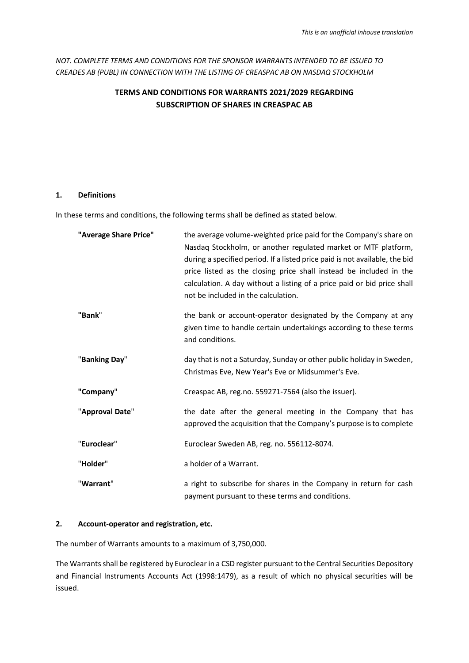*NOT. COMPLETE TERMS AND CONDITIONS FOR THE SPONSOR WARRANTS INTENDED TO BE ISSUED TO CREADES AB (PUBL) IN CONNECTION WITH THE LISTING OF CREASPAC AB ON NASDAQ STOCKHOLM*

# **TERMS AND CONDITIONS FOR WARRANTS 2021/2029 REGARDING SUBSCRIPTION OF SHARES IN CREASPAC AB**

#### **1. Definitions**

In these terms and conditions, the following terms shall be defined as stated below.

| "Average Share Price" | the average volume-weighted price paid for the Company's share on<br>Nasdag Stockholm, or another regulated market or MTF platform,<br>during a specified period. If a listed price paid is not available, the bid<br>price listed as the closing price shall instead be included in the<br>calculation. A day without a listing of a price paid or bid price shall<br>not be included in the calculation. |
|-----------------------|------------------------------------------------------------------------------------------------------------------------------------------------------------------------------------------------------------------------------------------------------------------------------------------------------------------------------------------------------------------------------------------------------------|
| "Bank"                | the bank or account-operator designated by the Company at any<br>given time to handle certain undertakings according to these terms<br>and conditions.                                                                                                                                                                                                                                                     |
| "Banking Day"         | day that is not a Saturday, Sunday or other public holiday in Sweden,<br>Christmas Eve, New Year's Eve or Midsummer's Eve.                                                                                                                                                                                                                                                                                 |
| "Company"             | Creaspac AB, reg.no. 559271-7564 (also the issuer).                                                                                                                                                                                                                                                                                                                                                        |
| "Approval Date"       | the date after the general meeting in the Company that has<br>approved the acquisition that the Company's purpose is to complete                                                                                                                                                                                                                                                                           |
| "Euroclear"           | Euroclear Sweden AB, reg. no. 556112-8074.                                                                                                                                                                                                                                                                                                                                                                 |
| "Holder"              | a holder of a Warrant.                                                                                                                                                                                                                                                                                                                                                                                     |
| "Warrant"             | a right to subscribe for shares in the Company in return for cash<br>payment pursuant to these terms and conditions.                                                                                                                                                                                                                                                                                       |

#### **2. Account-operator and registration, etc.**

The number of Warrants amounts to a maximum of 3,750,000.

The Warrants shall be registered by Euroclear in a CSD register pursuant to the Central Securities Depository and Financial Instruments Accounts Act (1998:1479), as a result of which no physical securities will be issued.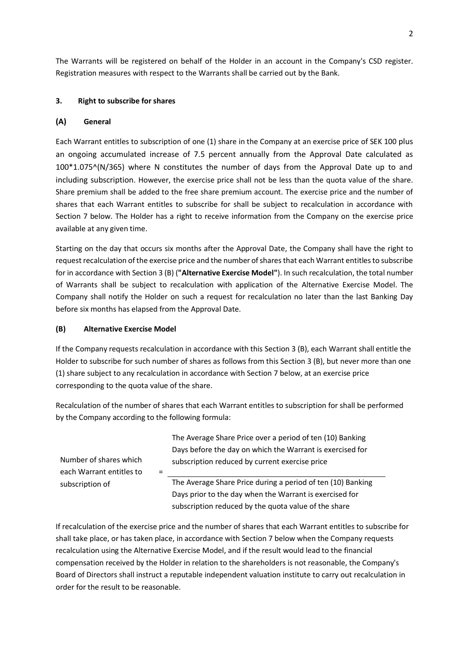The Warrants will be registered on behalf of the Holder in an account in the Company's CSD register. Registration measures with respect to the Warrants shall be carried out by the Bank.

# <span id="page-1-0"></span>**3. Right to subscribe for shares**

## **(A) General**

Each Warrant entitles to subscription of one (1) share in the Company at an exercise price of SEK 100 plus an ongoing accumulated increase of 7.5 percent annually from the Approval Date calculated as 100\*1.075^(N/365) where N constitutes the number of days from the Approval Date up to and including subscription. However, the exercise price shall not be less than the quota value of the share. Share premium shall be added to the free share premium account. The exercise price and the number of shares that each Warrant entitles to subscribe for shall be subject to recalculation in accordance with Section [7](#page-2-0) below. The Holder has a right to receive information from the Company on the exercise price available at any given time.

Starting on the day that occurs six months after the Approval Date, the Company shall have the right to request recalculation of the exercise price and the number of shares that each Warrant entitles to subscribe for in accordance with Sectio[n 3](#page-1-0) [\(B\)](#page-1-1) (**"Alternative Exercise Model"**). In such recalculation, the total number of Warrants shall be subject to recalculation with application of the Alternative Exercise Model. The Company shall notify the Holder on such a request for recalculation no later than the last Banking Day before six months has elapsed from the Approval Date.

## <span id="page-1-1"></span>**(B) Alternative Exercise Model**

If the Company requests recalculation in accordance with this Section [3](#page-1-0) [\(B\),](#page-1-1) each Warrant shall entitle the Holder to subscribe for such number of shares as follows from this Section [3](#page-1-0) [\(B\),](#page-1-1) but never more than one (1) share subject to any recalculation in accordance with Sectio[n 7](#page-2-0) below, at an exercise price corresponding to the quota value of the share.

Recalculation of the number of shares that each Warrant entitles to subscription for shall be performed by the Company according to the following formula:

|                          | The Average Share Price over a period of ten (10) Banking   |
|--------------------------|-------------------------------------------------------------|
|                          | Days before the day on which the Warrant is exercised for   |
| Number of shares which   | subscription reduced by current exercise price              |
| each Warrant entitles to |                                                             |
| subscription of          | The Average Share Price during a period of ten (10) Banking |
|                          | Days prior to the day when the Warrant is exercised for     |
|                          | subscription reduced by the quota value of the share        |

If recalculation of the exercise price and the number of shares that each Warrant entitles to subscribe for shall take place, or has taken place, in accordance with Section [7](#page-2-0) below when the Company requests recalculation using the Alternative Exercise Model, and if the result would lead to the financial compensation received by the Holder in relation to the shareholders is not reasonable, the Company's Board of Directors shall instruct a reputable independent valuation institute to carry out recalculation in order for the result to be reasonable.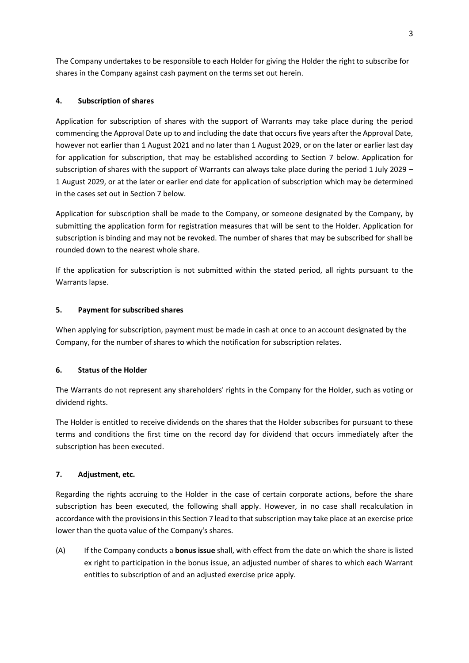The Company undertakes to be responsible to each Holder for giving the Holder the right to subscribe for shares in the Company against cash payment on the terms set out herein.

# **4. Subscription of shares**

Application for subscription of shares with the support of Warrants may take place during the period commencing the Approval Date up to and including the date that occurs five years after the Approval Date, however not earlier than 1 August 2021 and no later than 1 August 2029, or on the later or earlier last day for application for subscription, that may be established according to Section [7](#page-2-0) below. Application for subscription of shares with the support of Warrants can always take place during the period 1 July 2029 – 1 August 2029, or at the later or earlier end date for application of subscription which may be determined in the cases set out in Section [7](#page-2-0) below.

Application for subscription shall be made to the Company, or someone designated by the Company, by submitting the application form for registration measures that will be sent to the Holder. Application for subscription is binding and may not be revoked. The number of shares that may be subscribed for shall be rounded down to the nearest whole share.

If the application for subscription is not submitted within the stated period, all rights pursuant to the Warrants lapse.

# **5. Payment for subscribed shares**

When applying for subscription, payment must be made in cash at once to an account designated by the Company, for the number of shares to which the notification for subscription relates.

#### **6. Status of the Holder**

The Warrants do not represent any shareholders' rights in the Company for the Holder, such as voting or dividend rights.

The Holder is entitled to receive dividends on the shares that the Holder subscribes for pursuant to these terms and conditions the first time on the record day for dividend that occurs immediately after the subscription has been executed.

#### <span id="page-2-0"></span>**7. Adjustment, etc.**

Regarding the rights accruing to the Holder in the case of certain corporate actions, before the share subscription has been executed, the following shall apply. However, in no case shall recalculation in accordance with the provisions in this Sectio[n 7](#page-2-0) lead to that subscription may take place at an exercise price lower than the quota value of the Company's shares.

<span id="page-2-1"></span>(A) If the Company conducts a **bonus issue** shall, with effect from the date on which the share is listed ex right to participation in the bonus issue, an adjusted number of shares to which each Warrant entitles to subscription of and an adjusted exercise price apply.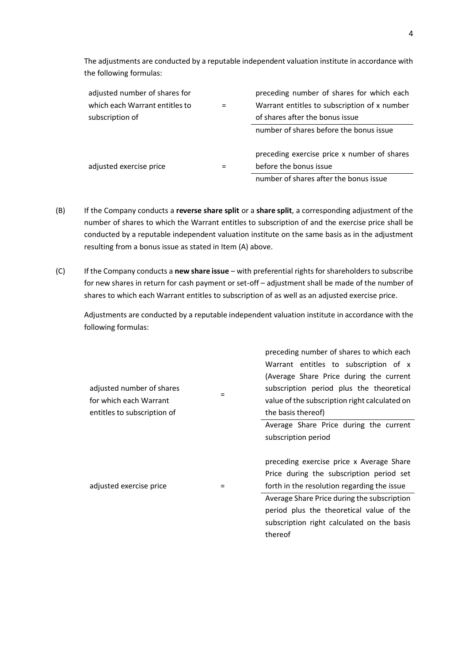The adjustments are conducted by a reputable independent valuation institute in accordance with the following formulas:

| adjusted number of shares for  | preceding number of shares for which each    |
|--------------------------------|----------------------------------------------|
| which each Warrant entitles to | Warrant entitles to subscription of x number |
| subscription of                | of shares after the bonus issue              |
|                                | number of shares before the bonus issue      |
|                                | preceding exercise price x number of shares  |
|                                |                                              |
| adjusted exercise price        | before the bonus issue                       |
|                                | number of shares after the bonus issue       |
|                                |                                              |

- (B) If the Company conducts a **reverse share split** or a **share split**, a corresponding adjustment of the number of shares to which the Warrant entitles to subscription of and the exercise price shall be conducted by a reputable independent valuation institute on the same basis as in the adjustment resulting from a bonus issue as stated in Item [\(A\)](#page-2-1) above.
- <span id="page-3-0"></span>(C) If the Company conducts a **new share issue** – with preferential rights for shareholders to subscribe for new shares in return for cash payment or set-off – adjustment shall be made of the number of shares to which each Warrant entitles to subscription of as well as an adjusted exercise price.

Adjustments are conducted by a reputable independent valuation institute in accordance with the following formulas:

| adjusted number of shares<br>for which each Warrant<br>entitles to subscription of | $=$ | preceding number of shares to which each<br>Warrant entitles to subscription of x<br>(Average Share Price during the current<br>subscription period plus the theoretical<br>value of the subscription right calculated on<br>the basis thereof) |
|------------------------------------------------------------------------------------|-----|-------------------------------------------------------------------------------------------------------------------------------------------------------------------------------------------------------------------------------------------------|
|                                                                                    |     | Average Share Price during the current<br>subscription period                                                                                                                                                                                   |
| adjusted exercise price                                                            |     | preceding exercise price x Average Share<br>Price during the subscription period set<br>forth in the resolution regarding the issue                                                                                                             |
|                                                                                    |     | Average Share Price during the subscription<br>period plus the theoretical value of the<br>subscription right calculated on the basis<br>thereof                                                                                                |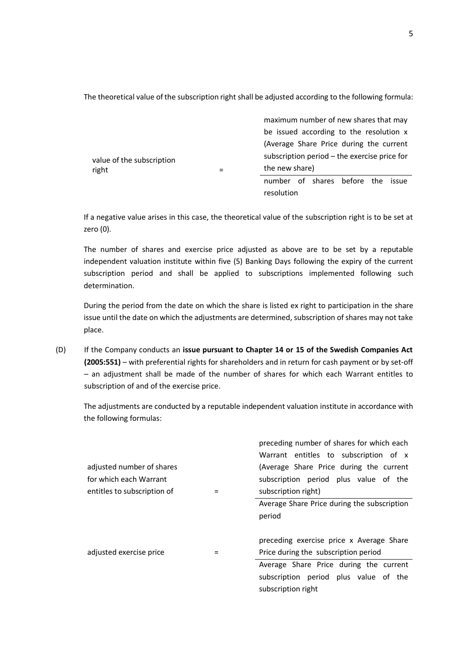The theoretical value of the subscription right shall be adjusted according to the following formula:

|                                    |  | maximum number of new shares that may        |  |                            |  |
|------------------------------------|--|----------------------------------------------|--|----------------------------|--|
|                                    |  | be issued according to the resolution x      |  |                            |  |
| value of the subscription<br>right |  | (Average Share Price during the current      |  |                            |  |
|                                    |  | subscription period – the exercise price for |  |                            |  |
|                                    |  | the new share)                               |  |                            |  |
|                                    |  | number                                       |  | of shares before the issue |  |
|                                    |  | resolution                                   |  |                            |  |

If a negative value arises in this case, the theoretical value of the subscription right is to be set at zero (0).

The number of shares and exercise price adjusted as above are to be set by a reputable independent valuation institute within five (5) Banking Days following the expiry of the current subscription period and shall be applied to subscriptions implemented following such determination.

During the period from the date on which the share is listed ex right to participation in the share issue until the date on which the adjustments are determined, subscription of shares may not take place.

<span id="page-4-0"></span>(D) If the Company conducts an **issue pursuant to Chapter 14 or 15 of the Swedish Companies Act (2005:551)** – with preferential rights for shareholders and in return for cash payment or by set-off – an adjustment shall be made of the number of shares for which each Warrant entitles to subscription of and of the exercise price.

The adjustments are conducted by a reputable independent valuation institute in accordance with the following formulas:

| adjusted number of shares<br>for which each Warrant<br>entitles to subscription of |          | preceding number of shares for which each<br>Warrant entitles to subscription of x<br>(Average Share Price during the current<br>subscription period plus value of the<br>subscription right) |
|------------------------------------------------------------------------------------|----------|-----------------------------------------------------------------------------------------------------------------------------------------------------------------------------------------------|
|                                                                                    |          | Average Share Price during the subscription<br>period                                                                                                                                         |
|                                                                                    |          | preceding exercise price x Average Share                                                                                                                                                      |
| adjusted exercise price                                                            | $\equiv$ | Price during the subscription period                                                                                                                                                          |
|                                                                                    |          | Average Share Price during the current<br>subscription period plus value of the<br>subscription right                                                                                         |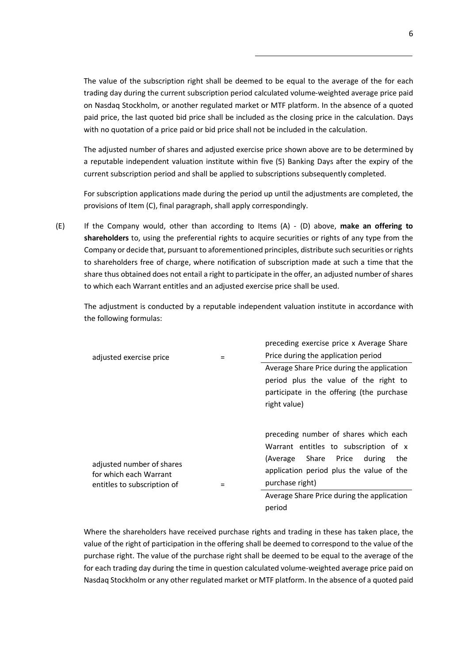The value of the subscription right shall be deemed to be equal to the average of the for each trading day during the current subscription period calculated volume-weighted average price paid on Nasdaq Stockholm, or another regulated market or MTF platform. In the absence of a quoted paid price, the last quoted bid price shall be included as the closing price in the calculation. Days with no quotation of a price paid or bid price shall not be included in the calculation.

The adjusted number of shares and adjusted exercise price shown above are to be determined by a reputable independent valuation institute within five (5) Banking Days after the expiry of the current subscription period and shall be applied to subscriptions subsequently completed.

For subscription applications made during the period up until the adjustments are completed, the provisions of Item [\(C\),](#page-3-0) final paragraph, shall apply correspondingly.

<span id="page-5-0"></span>(E) If the Company would, other than according to Items [\(A\)](#page-2-1) - [\(D\)](#page-4-0) above, **make an offering to shareholders** to, using the preferential rights to acquire securities or rights of any type from the Company or decide that, pursuant to aforementioned principles, distribute such securities or rights to shareholders free of charge, where notification of subscription made at such a time that the share thus obtained does not entail a right to participate in the offer, an adjusted number of shares to which each Warrant entitles and an adjusted exercise price shall be used.

The adjustment is conducted by a reputable independent valuation institute in accordance with the following formulas:

|                                                     |     | preceding exercise price x Average Share   |
|-----------------------------------------------------|-----|--------------------------------------------|
| adjusted exercise price                             |     | Price during the application period        |
|                                                     |     | Average Share Price during the application |
|                                                     |     | period plus the value of the right to      |
|                                                     |     | participate in the offering (the purchase  |
|                                                     |     | right value)                               |
|                                                     |     |                                            |
|                                                     |     | preceding number of shares which each      |
|                                                     |     | Warrant entitles to subscription of x      |
|                                                     |     | Share Price<br>(Average<br>during<br>the   |
| adjusted number of shares<br>for which each Warrant |     | application period plus the value of the   |
| entitles to subscription of                         | $=$ | purchase right)                            |
|                                                     |     | Average Share Price during the application |
|                                                     |     | period                                     |

Where the shareholders have received purchase rights and trading in these has taken place, the value of the right of participation in the offering shall be deemed to correspond to the value of the purchase right. The value of the purchase right shall be deemed to be equal to the average of the for each trading day during the time in question calculated volume-weighted average price paid on Nasdaq Stockholm or any other regulated market or MTF platform. In the absence of a quoted paid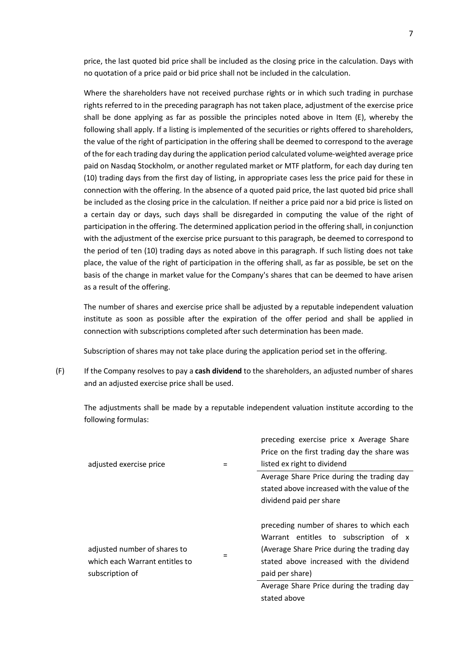price, the last quoted bid price shall be included as the closing price in the calculation. Days with no quotation of a price paid or bid price shall not be included in the calculation.

Where the shareholders have not received purchase rights or in which such trading in purchase rights referred to in the preceding paragraph has not taken place, adjustment of the exercise price shall be done applying as far as possible the principles noted above in Item  $(E)$ , whereby the following shall apply. If a listing is implemented of the securities or rights offered to shareholders, the value of the right of participation in the offering shall be deemed to correspond to the average of the for each trading day during the application period calculated volume-weighted average price paid on Nasdaq Stockholm, or another regulated market or MTF platform, for each day during ten (10) trading days from the first day of listing, in appropriate cases less the price paid for these in connection with the offering. In the absence of a quoted paid price, the last quoted bid price shall be included as the closing price in the calculation. If neither a price paid nor a bid price is listed on a certain day or days, such days shall be disregarded in computing the value of the right of participation in the offering. The determined application period in the offering shall, in conjunction with the adjustment of the exercise price pursuant to this paragraph, be deemed to correspond to the period of ten (10) trading days as noted above in this paragraph. If such listing does not take place, the value of the right of participation in the offering shall, as far as possible, be set on the basis of the change in market value for the Company's shares that can be deemed to have arisen as a result of the offering.

The number of shares and exercise price shall be adjusted by a reputable independent valuation institute as soon as possible after the expiration of the offer period and shall be applied in connection with subscriptions completed after such determination has been made.

Subscription of shares may not take place during the application period set in the offering.

(F) If the Company resolves to pay a **cash dividend** to the shareholders, an adjusted number of shares and an adjusted exercise price shall be used.

The adjustments shall be made by a reputable independent valuation institute according to the following formulas:

|                                                                                   | preceding exercise price x Average Share                                                                                                                                                        |
|-----------------------------------------------------------------------------------|-------------------------------------------------------------------------------------------------------------------------------------------------------------------------------------------------|
|                                                                                   | Price on the first trading day the share was                                                                                                                                                    |
| adjusted exercise price                                                           | listed ex right to dividend                                                                                                                                                                     |
|                                                                                   | Average Share Price during the trading day                                                                                                                                                      |
|                                                                                   | stated above increased with the value of the                                                                                                                                                    |
|                                                                                   | dividend paid per share                                                                                                                                                                         |
| adjusted number of shares to<br>which each Warrant entitles to<br>subscription of | preceding number of shares to which each<br>Warrant entitles to subscription of x<br>(Average Share Price during the trading day<br>stated above increased with the dividend<br>paid per share) |
|                                                                                   | Average Share Price during the trading day                                                                                                                                                      |
|                                                                                   | stated above                                                                                                                                                                                    |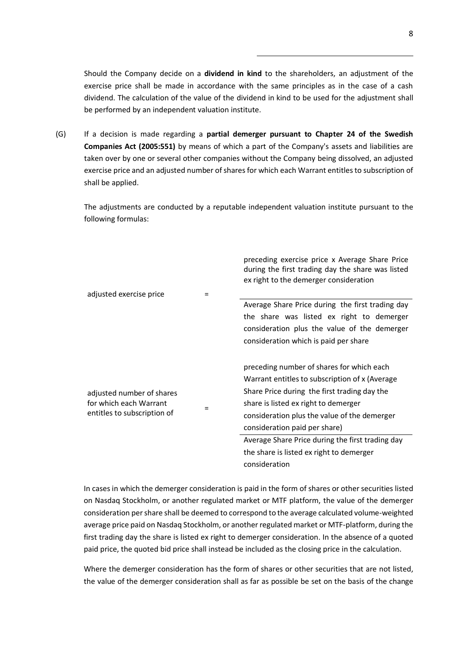Should the Company decide on a **dividend in kind** to the shareholders, an adjustment of the exercise price shall be made in accordance with the same principles as in the case of a cash dividend. The calculation of the value of the dividend in kind to be used for the adjustment shall be performed by an independent valuation institute.

(G) If a decision is made regarding a **partial demerger pursuant to Chapter 24 of the Swedish Companies Act (2005:551)** by means of which a part of the Company's assets and liabilities are taken over by one or several other companies without the Company being dissolved, an adjusted exercise price and an adjusted number of shares for which each Warrant entitles to subscription of shall be applied.

The adjustments are conducted by a reputable independent valuation institute pursuant to the following formulas:

|                                                                                    |     | preceding exercise price x Average Share Price<br>during the first trading day the share was listed<br>ex right to the demerger consideration |
|------------------------------------------------------------------------------------|-----|-----------------------------------------------------------------------------------------------------------------------------------------------|
| adjusted exercise price                                                            | $=$ | Average Share Price during the first trading day                                                                                              |
|                                                                                    |     | the share was listed ex right to demerger                                                                                                     |
|                                                                                    |     | consideration plus the value of the demerger                                                                                                  |
|                                                                                    |     | consideration which is paid per share                                                                                                         |
| adjusted number of shares<br>for which each Warrant<br>entitles to subscription of |     | preceding number of shares for which each                                                                                                     |
|                                                                                    |     | Warrant entitles to subscription of x (Average                                                                                                |
|                                                                                    |     | Share Price during the first trading day the                                                                                                  |
|                                                                                    |     | share is listed ex right to demerger                                                                                                          |
|                                                                                    |     | consideration plus the value of the demerger                                                                                                  |
|                                                                                    |     | consideration paid per share)                                                                                                                 |
|                                                                                    |     | Average Share Price during the first trading day                                                                                              |
|                                                                                    |     | the share is listed ex right to demerger                                                                                                      |
|                                                                                    |     | consideration                                                                                                                                 |

In cases in which the demerger consideration is paid in the form of shares or other securities listed on Nasdaq Stockholm, or another regulated market or MTF platform, the value of the demerger consideration per share shall be deemed to correspond to the average calculated volume-weighted average price paid on Nasdaq Stockholm, or another regulated market or MTF-platform, during the first trading day the share is listed ex right to demerger consideration. In the absence of a quoted paid price, the quoted bid price shall instead be included as the closing price in the calculation.

Where the demerger consideration has the form of shares or other securities that are not listed, the value of the demerger consideration shall as far as possible be set on the basis of the change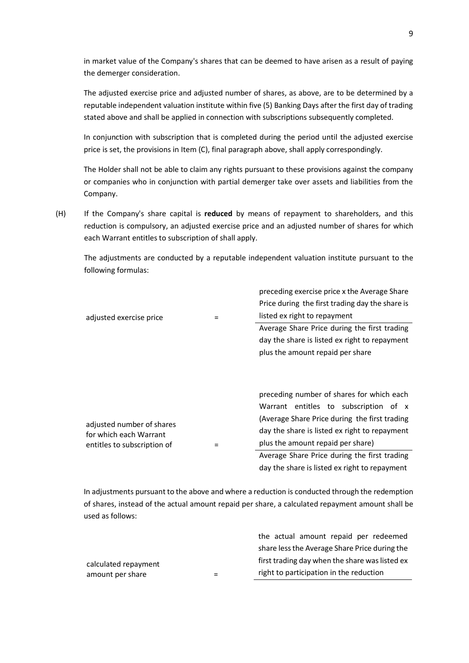in market value of the Company's shares that can be deemed to have arisen as a result of paying the demerger consideration.

The adjusted exercise price and adjusted number of shares, as above, are to be determined by a reputable independent valuation institute within five (5) Banking Days after the first day of trading stated above and shall be applied in connection with subscriptions subsequently completed.

In conjunction with subscription that is completed during the period until the adjusted exercise price is set, the provisions in Item [\(C\),](#page-3-0) final paragraph above, shall apply correspondingly.

The Holder shall not be able to claim any rights pursuant to these provisions against the company or companies who in conjunction with partial demerger take over assets and liabilities from the Company.

<span id="page-8-0"></span>(H) If the Company's share capital is **reduced** by means of repayment to shareholders, and this reduction is compulsory, an adjusted exercise price and an adjusted number of shares for which each Warrant entitles to subscription of shall apply.

The adjustments are conducted by a reputable independent valuation institute pursuant to the following formulas:

| adjusted exercise price                                                            | preceding exercise price x the Average Share<br>Price during the first trading day the share is<br>listed ex right to repayment                                                                                                                                                                                            |
|------------------------------------------------------------------------------------|----------------------------------------------------------------------------------------------------------------------------------------------------------------------------------------------------------------------------------------------------------------------------------------------------------------------------|
|                                                                                    | Average Share Price during the first trading<br>day the share is listed ex right to repayment<br>plus the amount repaid per share                                                                                                                                                                                          |
| adjusted number of shares<br>for which each Warrant<br>entitles to subscription of | preceding number of shares for which each<br>Warrant entitles to subscription of x<br>(Average Share Price during the first trading<br>day the share is listed ex right to repayment<br>plus the amount repaid per share)<br>Average Share Price during the first trading<br>day the share is listed ex right to repayment |

In adjustments pursuant to the above and where a reduction is conducted through the redemption of shares, instead of the actual amount repaid per share, a calculated repayment amount shall be used as follows:

|                      |     | the actual amount repaid per redeemed          |
|----------------------|-----|------------------------------------------------|
|                      |     | share less the Average Share Price during the  |
| calculated repayment |     | first trading day when the share was listed ex |
| amount per share     | $=$ | right to participation in the reduction        |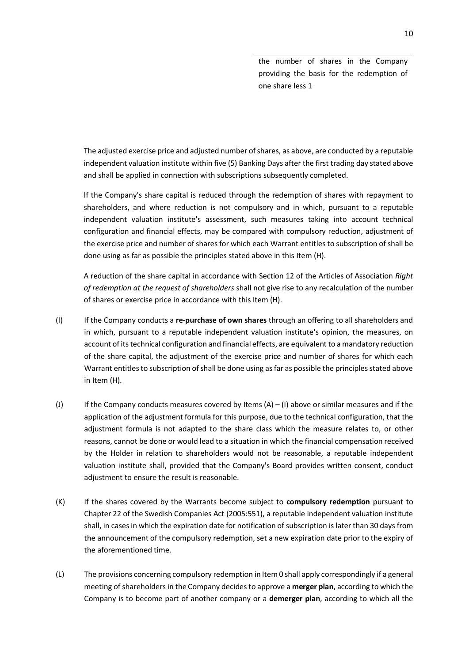the number of shares in the Company providing the basis for the redemption of one share less 1

The adjusted exercise price and adjusted number of shares, as above, are conducted by a reputable independent valuation institute within five (5) Banking Days after the first trading day stated above and shall be applied in connection with subscriptions subsequently completed.

If the Company's share capital is reduced through the redemption of shares with repayment to shareholders, and where reduction is not compulsory and in which, pursuant to a reputable independent valuation institute's assessment, such measures taking into account technical configuration and financial effects, may be compared with compulsory reduction, adjustment of the exercise price and number of shares for which each Warrant entitles to subscription of shall be done using as far as possible the principles stated above in this Item [\(H\).](#page-8-0)

A reduction of the share capital in accordance with Section 12 of the Articles of Association *Right of redemption at the request of shareholders* shall not give rise to any recalculation of the number of shares or exercise price in accordance with this Item [\(H\).](#page-8-0)

- <span id="page-9-0"></span>(I) If the Company conducts a **re-purchase of own shares** through an offering to all shareholders and in which, pursuant to a reputable independent valuation institute's opinion, the measures, on account of its technical configuration and financial effects, are equivalent to a mandatory reduction of the share capital, the adjustment of the exercise price and number of shares for which each Warrant entitles to subscription of shall be done using as far as possible the principles stated above in Item [\(H\).](#page-8-0)
- (J) If the Company conducts measures covered by Items  $(A) (I)$  $(A) (I)$  above or similar measures and if the application of the adjustment formula for this purpose, due to the technical configuration, that the adjustment formula is not adapted to the share class which the measure relates to, or other reasons, cannot be done or would lead to a situation in which the financial compensation received by the Holder in relation to shareholders would not be reasonable, a reputable independent valuation institute shall, provided that the Company's Board provides written consent, conduct adjustment to ensure the result is reasonable.
- <span id="page-9-1"></span>(K) If the shares covered by the Warrants become subject to **compulsory redemption** pursuant to Chapter 22 of the Swedish Companies Act (2005:551), a reputable independent valuation institute shall, in cases in which the expiration date for notification of subscription is later than 30 days from the announcement of the compulsory redemption, set a new expiration date prior to the expiry of the aforementioned time.
- (L) The provisions concerning compulsory redemption in Item [0](#page-9-1) shall apply correspondingly if a general meeting of shareholders in the Company decides to approve a **merger plan**, according to which the Company is to become part of another company or a **demerger plan**, according to which all the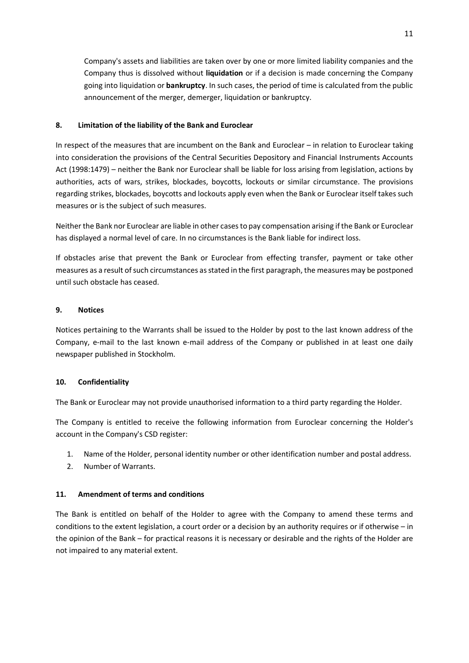Company's assets and liabilities are taken over by one or more limited liability companies and the Company thus is dissolved without **liquidation** or if a decision is made concerning the Company going into liquidation or **bankruptcy**. In such cases, the period of time is calculated from the public announcement of the merger, demerger, liquidation or bankruptcy.

## **8. Limitation of the liability of the Bank and Euroclear**

In respect of the measures that are incumbent on the Bank and Euroclear – in relation to Euroclear taking into consideration the provisions of the Central Securities Depository and Financial Instruments Accounts Act (1998:1479) – neither the Bank nor Euroclear shall be liable for loss arising from legislation, actions by authorities, acts of wars, strikes, blockades, boycotts, lockouts or similar circumstance. The provisions regarding strikes, blockades, boycotts and lockouts apply even when the Bank or Euroclear itself takes such measures or is the subject of such measures.

Neither the Bank nor Euroclear are liable in other cases to pay compensation arising if the Bank or Euroclear has displayed a normal level of care. In no circumstances is the Bank liable for indirect loss.

If obstacles arise that prevent the Bank or Euroclear from effecting transfer, payment or take other measures as a result of such circumstances as stated in the first paragraph, the measures may be postponed until such obstacle has ceased.

# **9. Notices**

Notices pertaining to the Warrants shall be issued to the Holder by post to the last known address of the Company, e-mail to the last known e-mail address of the Company or published in at least one daily newspaper published in Stockholm.

#### **10. Confidentiality**

The Bank or Euroclear may not provide unauthorised information to a third party regarding the Holder.

The Company is entitled to receive the following information from Euroclear concerning the Holder's account in the Company's CSD register:

- 1. Name of the Holder, personal identity number or other identification number and postal address.
- 2. Number of Warrants.

#### **11. Amendment of terms and conditions**

The Bank is entitled on behalf of the Holder to agree with the Company to amend these terms and conditions to the extent legislation, a court order or a decision by an authority requires or if otherwise – in the opinion of the Bank – for practical reasons it is necessary or desirable and the rights of the Holder are not impaired to any material extent.